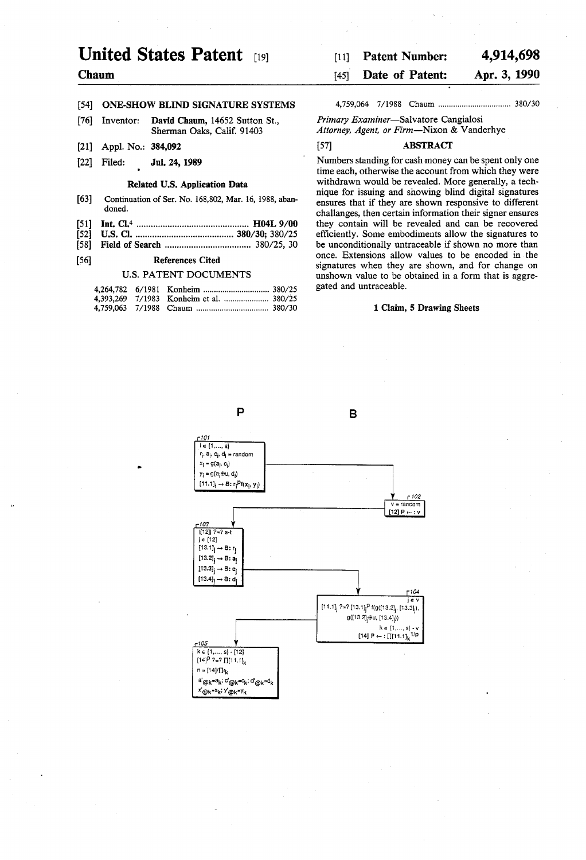# United States Patent  $_{[19]}$  [11] Patent Number: 4,914,698

# [54] ONE-SHOW BLIND SIGNATURE SYSTEMS 4,759,064 7/ 1988 Chaum ................................ .. 380/30

- [76] Inventor: David Chaum, 14652 Sutton St., Primary Examiner-Salvatore Cangialosi
- 
- 

- 
- 
- [52] US. Cl. ...................... .. 380/30; 380/25 ef?ciently. Some embodiments allow the signatures to
- 

|  | 4,393,269 7/1983 Konheim et al.  380/25 |  |
|--|-----------------------------------------|--|
|  |                                         |  |

# **Chaum 1451 Chaum 1451 Date of Patent: Apr. 3, 1990**

Sherman Oaks, Calif. 91403 Attorney, Agent, or Firm-Nixon & Vanderhye

# [21] App]. No.: 384,092 [57] ABSTRACT

[22] Filed; JuL 24, 1989 Numbers standing for cash money can be spent only one time each, otherwise the account from which they were withdrawn would be revealed. More generally, a tech-Related U.S. Application Data withdrawn would be revealed. More generally, a tech-<br>mique for issuing and showing blind digital signatures<br>Continuation of Ser. No. 168,802, Mar. 16, 1988, aban-<br>ensures that if they are show [63] Continuation of Ser. No. 168,802, Mar. 16, 1988, aban-<br>doned. ensures that if they are shown responsive to different information their signar ensures challanges, then certain information their signer ensures [51] Int. Cl.4 ............................................. .. H04L 9/00 they contain will be revealed and can be recovered be unconditionally untraceable if shown no more than [56] References Cited once. Extensions allow values to be encoded in the signatures when they are shown, and for change on U.S. PATENT DOCUMENTS unshown value to be obtained in a form that is aggregated and untraceable.

### 1 Claim, 5 Drawing Sheets

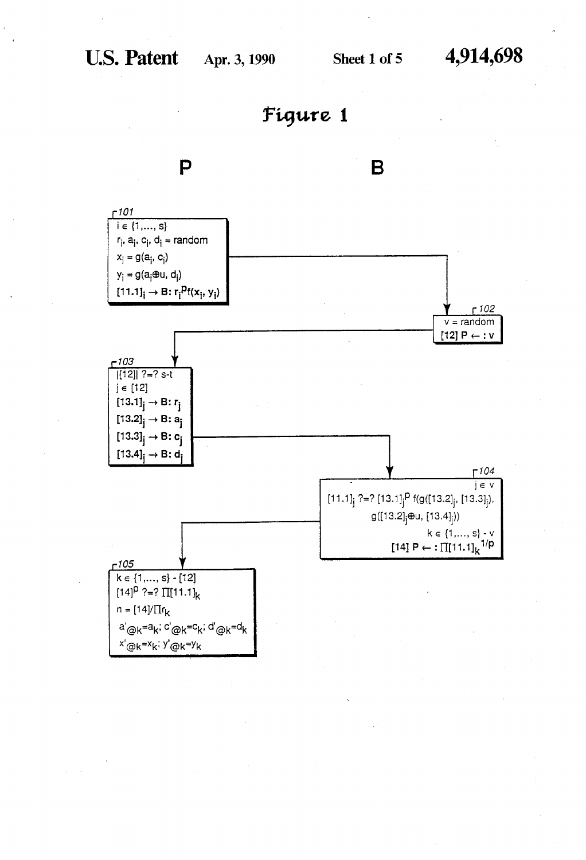

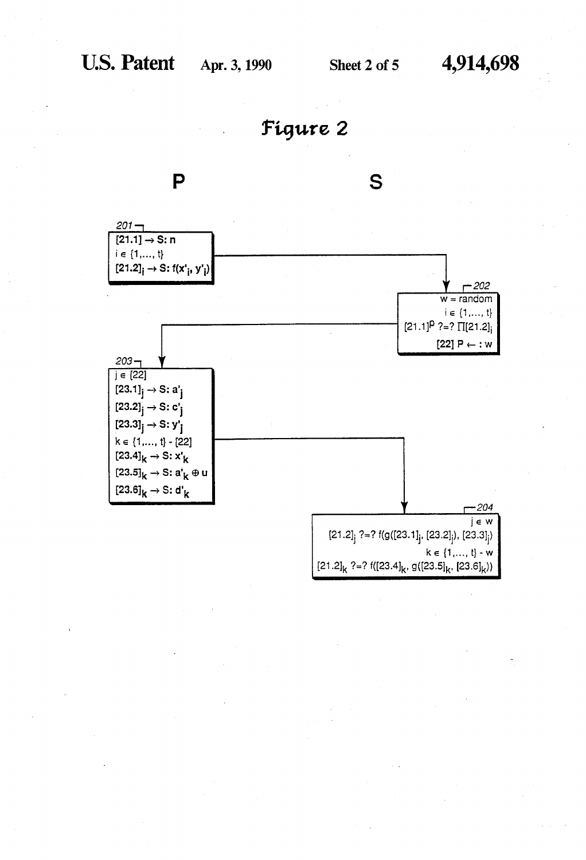Figure 2

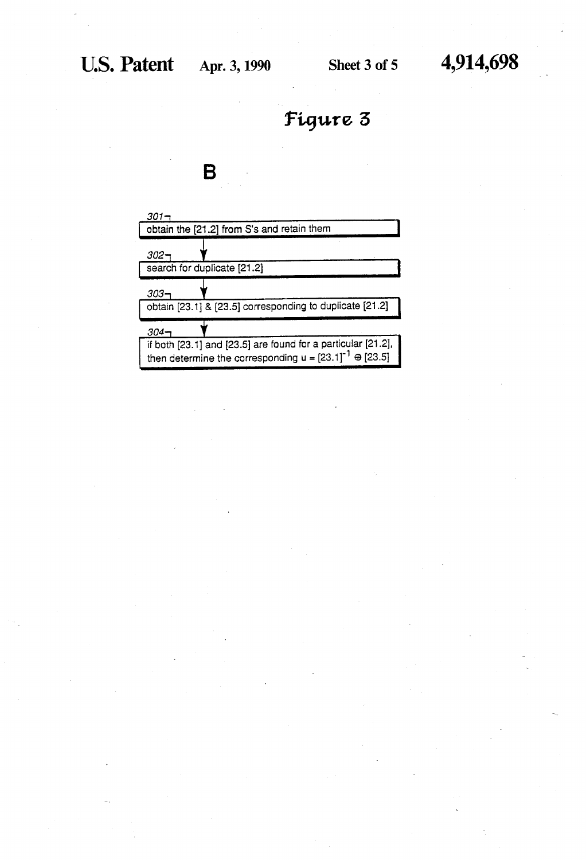



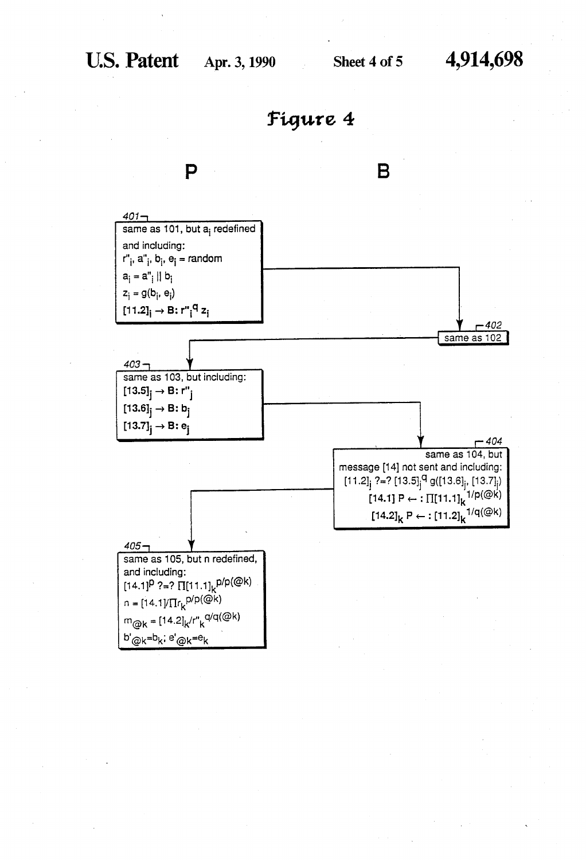



B

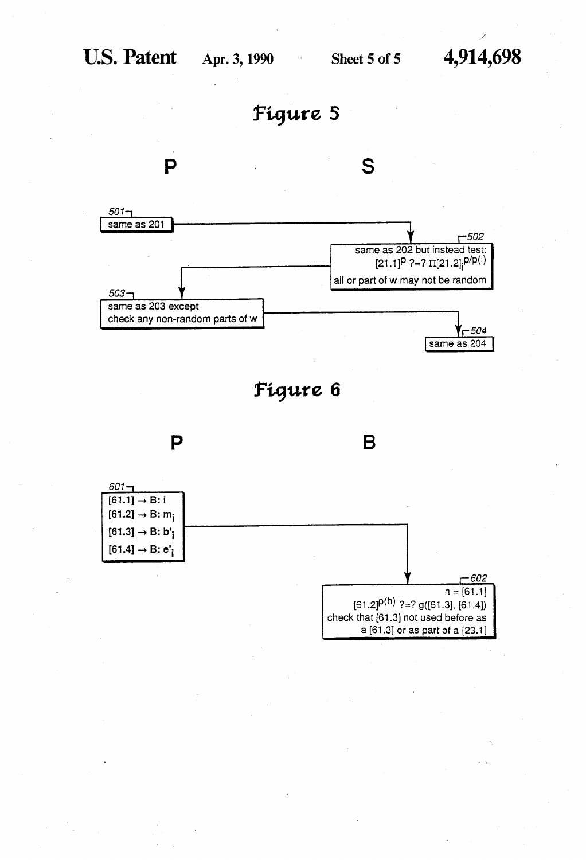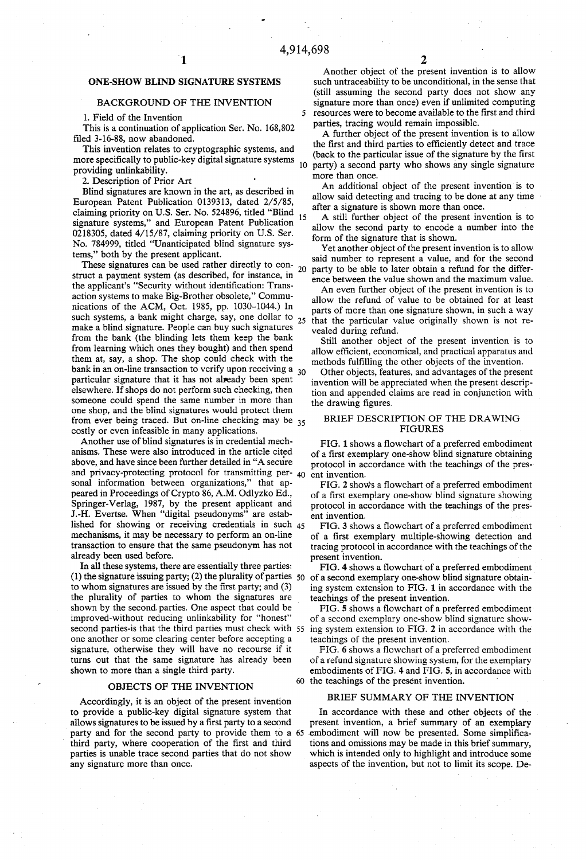5

# ONE-SHOW BLIND SIGNATURE SYSTEMS

### BACKGROUND OF THE INVENTION

1. Field of the Invention

This is a continuation of application Ser. No. 168,802 filed 3-16-88, now abandoned.

This invention relates to cryptographic systems, and more specifically to public-key digital signature systems  $_{10}$ providing unlinkability.

2. Description of Prior Art

Blind signatures are known in the art, as described in European Patent Publication 0139313, dated 2/5/85, claiming priority on U.S. Ser. No. 524896, titled "Blind<br>15 signature systems," and European Patent Publication 0218305, dated 4/15/87, claiming priority on U.S. Ser. No. 784999, titled "Unanticipated blind signature sys tems," both by the present applicant.

These signatures can be used rather directly to con- $_{20}$ struct a payment system (as described, for instance, in the applicant's "Security without identification: Transaction systems to make Big-Brother obsolete," Commu nications of the ACM, Oct. 1985, pp. 1030-1044.) In such systems, a bank might charge, say, one dollar to  $_{25}$ make a blind signature. People can buy such signatures from the bank (the blinding lets them keep the bank from learning which ones they bought) and then spend them at, say, a shop. The shop could check with the bank in an on-line transaction to verify upon receiving a  $_{30}$ particular signature that it has not already been spent elsewhere. If shops do not perform such checking, then someone could spend the same number in more than one shop, and the blind signatures would protect them from ever being traced. But on-line checking may be <sub>35</sub> costly or even infeasible in many applications.

Another use of blind signatures is in credential mech anisms. These were also introduced in the article cited above, and have since been further detailed in "A secure and privacy-protecting protocol for transmitting per- $_{40}$ sonal information between organizations," that ap peared in Proceedings of Crypto 86, A.M. Odlyzko Ed., Springer-Verlag, 1987, by the present applicant and J.-H. Evertse. When "digital pseudonyms" are established for showing or receiving credentials in such 45 mechanisms, it may be necessary to perform an on-line transaction to ensure that the same pseudonym has not already been used before.

In all these systems, there are essentially three parties: (1) the signature issuing party; (2) the plurality of parties  $50$ to whom signatures are issued by the first party; and  $(3)$ the plurality of parties to whom the signatures are shown by the second parties. One aspect that could be improved-without reducing unlinkability for "honest" one another or some clearing center before accepting a signature, otherwise they will have no recourse if it turns out that the same signature has already been shown to more than a single third party.

### OBJECTS OF THE INVENTION

Accordingly, it is an object of the present invention to provide a public-key digital signature system that allows signatures to be issued by a first party to a second party and for the second party to provide them to a 65 third party, where cooperation of the first and third parties is unable trace second parties that do not show any signature more than once.

Another object of the present invention is to allow such untraceability to be unconditional, in the sense that (still assuming the second party does not show any signature more than once) even if unlimited computing resources were to become available to the first and third parties, tracing would remain impossible.

A further object of the present invention is to allow the first and third parties to efficiently detect and trace (back to the particular issue of the signature by the first party) a second party who shows any single signature more than once.

An additional object of the present invention is to allow said detecting and tracing to be done at any time after a signature is shown more than once.

A still further object of the present invention is to allow the second party to encode a number into the form of the signature that is shown.

Yet another object of the present invention is to allow said number to represent a value, and for the second party to be able to later obtain a refund for the differ ence between the value shown and the maximum value.

An even further object of the present invention is to allow the refund of value to be obtained for at least parts of more than one signature shown, in such a way that the particular value originally shown is not re vealed during refund.

Still another object of the present invention is to allow efficient, economical, and practical apparatus and methods fulfilling the other objects of the invention.

Other objects, features, and advantages of the present invention will be appreciated when the present descrip tion and appended claims are read in conjunction with the drawing figures.

### BRIEF DESCRIPTION OF THE DRAWING FIGURES

FIG. 1 shows a flowchart of a preferred embodiment of a first exemplary one-show blind signature obtaining protocol in accordance with the teachings of the pres ent invention.

FIG. 2 shows a flowchart of a preferred embodiment of a first exemplary one-show blind signature showing protocol in accordance with the teachings of the pres ent invention.

FIG. 3 shows a flowchart of a preferred embodiment of a first exemplary multiple-showing detection and tracing protocol in accordance with the teachings of the present invention.

FIG. 4 shows a flowchart of a preferred embodiment of a second exemplary one-show blind signature obtain ing system extension to FIG. 1 in accordance with the teachings of the present invention.

second parties-is that the third parties must check with 55 ing system extension to FIG. 2 in accordance with the FIG. 5 shows a flowchart of a preferred embodiment of a second exemplary one-show blind signature show teachings of the present invention.

> 60 the teachings of the present invention. ' FIG. 6 shows a flowchart of a preferred embodiment of a refund signature showing system, for the exemplary embodiments of FIG. 4 and FIG. 5, in accordance with

### BRIEF SUMMARY OF THE INVENTION

In accordance with these and other objects of the present invention, a brief summary of an exemplary embodiment will now be presented. Some simplifications and omissions may be made in this brief summary, which is intended only to highlight and introduce some aspects of the invention, but not to limit its scope. De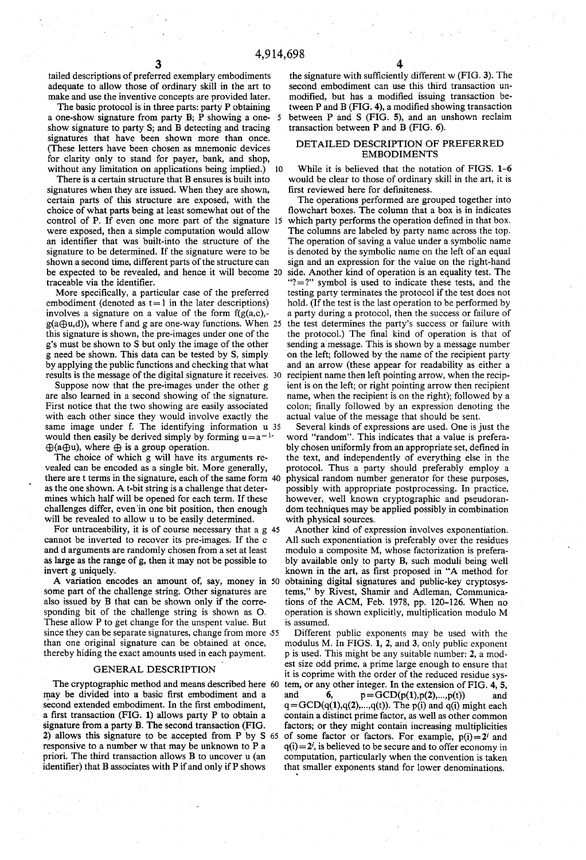tailed descriptions of preferred exemplary embodiments adequate to allow those of ordinary skill in the art to make and use the inventive concepts are provided later.<br>The basic protocol is in three parts: party P obtaining

a one-show signature from party B; P showing a one- 5 show signature to party S; and B detecting and tracing signatures that have been shown more than once. (These letters have been chosen as mnemonic devices for clarity only to stand for payer, bank, and shop, without any limitation on applications being implied.) 10

There is a certain structure that B ensures is built into signatures when they are issued. When they are shown, certain parts of this structure are exposed, with the choice of what parts being at least somewhat out of the control of P. If even one more part of the signature were exposed, then a simple computation would allow an identifier that was built-into the structure of the signature to be determined. If the signature were to be shown a second time, different parts of the structure can be expected to be revealed, and hence it will become traceable via the identifier.

More specifically, a particular case of the preferred embodiment (denoted as  $t=1$  in the later descriptions) involves a signature on a value of the form  $f(g(a,c))$ .  $g(a\bigoplus u,d)$ , where f and g are one-way functions. When 25 this signature is shown, the pre-images under one of the g's must be shown to S but only the image of the other g need be shown. This data can be tested by S, simply by applying the public functions and checking that what results is the message of the digital signature it receives. 30

Suppose now that the pre-images under the other g are also learned in a second showing of the signature. First notice that the two showing are easily associated with each other since they would involve exactly the same image under f. The identifying information u 35 would then easily be derived simply by forming  $u=a^{-1}$ .  $\oplus$ (a $\oplus$ u), where  $\oplus$  is a group operation.

The choice of which g will have its arguments re vealed can be encoded as a single bit. More generally, there are t terms in the signature, each of the same form as the one shown. A t-bit string is a challenge that deter mines which half will be opened for each term. If these challenges differ, even 'in one bit position, then enough will be revealed to allow u to be easily determined.

For untraceability, it is of course necessary that a g 45 cannot be inverted to recover its pre-images. If the c and d arguments are randomly chosen from a set at least as large as the range of g, then it may not be possible to invert g uniquely.

A variation encodes an amount of, say, money in 50 some part of the challenge string. Other signatures are also issued by B that can be shown only if the corre sponding bit of the challenge string is shown as 0. These allow P to get change for the unspent value. But since they can be separate signatures, change from more 55 than one original signature can be obtained at once, thereby hiding the exact amounts used in each payment.

# GENERAL DESCRIPTION

may be divided into a basic first embodiment and a second extended embodiment. In the first embodiment, a first transaction (FIG. 1) allows party P to obtain a signature from a party B. The second transaction (FIG. 2) allows this signature to be accepted from P by S 65 responsive to a number w that may be unknown to P a priori. The third transaction allows B to uncover u (an identifier) that B associates with P if and only if P shows

4

the signature with sufficiently different w  $(FIG. 3)$ . The second embodiment can use this third transaction un modified, but has a modified issuing transaction between  $P$  and  $B$  (FIG. 4), a modified showing transaction between P and S (FIG. 5), and an unshown reclaim transaction between P and B (FIG. 6).

### DETAILED DESCRIPTION OF PREFERRED EMBODIMENTS

While it is believed that the notation of FIGS. 1-6 would be clear to those of ordinary skill in the art, it is first reviewed here for definiteness.

The operations performed are grouped together into flowchart boxes. The column that a box is in indicates which party performs the operation defined in that box. The columns are labeled by party name across the top. The operation of saving a value under a symbolic name is denoted by the symbolic name on the left of an equal sign and an expression for the value on the right-hand side. Another kind of operation is an equality test. The " $?$  =?" symbol is used to indicate these tests, and the testing party terminates the protocol if the test does not hold. (If the test is the last operation to be performed by a party during a protocol, then the success or failure of the test determines the party's success or failure with the protocol.) The final kind of operation is that of sending a message. This is shown by a message number on the left; followed by the name of the recipient party and an arrow (these appear for readability as either a recipient name then left pointing arrow, when the recip ient is on the left; or right pointing arrow then recipient name, when the recipient is on the right); followed by a colon; finally followed by an expression denoting the actual value of the message that should be sent.

Several kinds of expressions are used. One is just the word "random". This indicates that a value is prefera bly chosen uniformly from an appropriate set, defined in the text, and independently of everything else in the protocol. Thus a party should preferably employ a physical random number generator for these purposes, possibly with appropriate postprocessing. In practice, however, well known cryptographic and pseudorandom techniques may be applied possibly in combination with physical sources.

Another kind of expression involves exponentiation. All such exponentiation is preferably over the residues modulo a composite M, whose factorization is prefera bly available only to party B, such moduli being well known in the art, as first proposed in "A method for obtaining digital signatures and public-key cryptosys terns," by Rivest, Shamir and Adleman, Communica tions of the ACM, Feb. 1978, pp. 120-126. When no operation is shown explicitly, multiplication modulo M is assumed.

The cryptographic method and means described here 60 tem, or any other integer. In the extension of FIG. 4, 5, Different public exponents may be used with the modulus M. In FIGS. 1, 2, and 3, only public exponent p is used. This might be any suitable number: 2, a mod est size odd prime, a prime large enough to ensure that it is coprime with the order of the reduced residue sys and 6,  $p = GCD(p(1), p(2),...,p(t))$  and  $q = GCD(q(1), q(2), \ldots, q(t))$ . The p(i) and q(i) might each contain a distinct prime factor, as well as other common factors; or they might contain increasing multiplicities of some factor or factors. For example,  $p(i)=2^i$  and  $q(i)=2<sup>i</sup>$ , is believed to be secure and to offer economy in computation, particularly when the convention is taken that smaller exponents stand for lower denominations.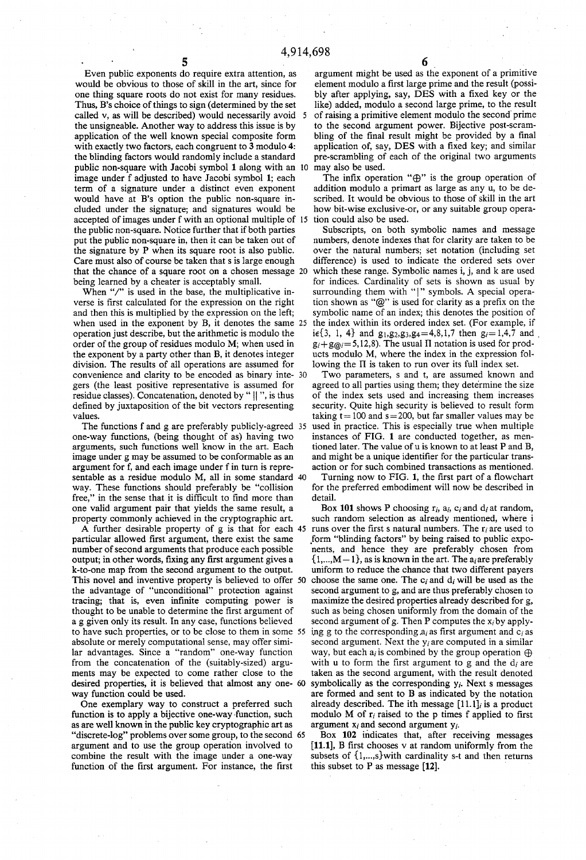Even public exponents do require extra attention, as would be obvious to those of skill in the art, since for one thing square roots do not exist for many residues. Thus, B's choice of things to sign (determined by the set called v, as will be described) would necessarily avoid 5 the unsigneable. Another way to address this issue is by application of the well known special composite form with exactly two factors, each congruent to 3 modulo 4: the blinding factors would randomly include a standard public non-square with Jacobi symbol 1 along with an 10 image under f adjusted to have Jacobi symbol 1; each term of a signature under a distinct even exponent would have at B's option the public non-square in cluded under the signature; and signatures would be accepted of images under f with an optional multiple of 15 the public non-square. Notice further that if both parties put the public non-square in, then it can be taken out of the signature by P when its square root is also public. Care must also of course be taken that sis large enough that the chance of a square root on a chosen message 20 being learned by a cheater is acceptably small.

When "/" is used in the base, the multiplicative inverse is first calculated for the expression on the right and then this is multiplied by the expression on the left; when used in the exponent by B, it denotes the same 25 operation just describe, but the arithmetic is modulo the order of the group of residues modulo M; when used in the exponent by a party other than B, it denotes integer division. The results of all operations are assumed for convenience and clarity to be encoded as binary inte gers (the least positive representative is assumed for residue classes). Concatenation, denoted by " || ", is thus defined by juxtaposition of the bit vectors representing values.

The functions f and g are preferably publicly-agreed 35 one-way functions, (being thought of as) having two arguments, such functions well know in the art. Each image under g may be assumed to be conformable as an argument for f, and each image under f in turn is repre sentable as a residue modulo M, all in some standard 40 way. These functions should preferably be "collision free," in the sense that it is difficult to find more than one valid argument pair that yields the same result, a property commonly achieved in the cryptographic art.

A further desirable property of g is that for each 45 particular allowed first argument, there exist the same number of second arguments that produce each possible output; in other words, fixing any first argument gives a k-to-one map from the second argument to the output. This novel and inventive property is believed to offer the advantage of "unconditional" protection against tracing; that is, even infinite computing power is thought to be unable to determine the first argument of a g given only its result. In any case, functions believed to have such properties, or to be close to them in some 55 absolute or merely computational sense, may offer simi lar advantages. Since a "random" one-way function from the concatenation of the (suitably-sized) argu ments may be expected to come rather close to the desired properties, it is believed that almost any one 60 way function could be used.

One exemplary way to construct a preferred such function is to apply a bijective one-way-function, such as are well known in the public key cryptographic art as "discrete-log" problems over some group, to the second 65 argument and to use the group operation involved to combine the result with the image under a one-way function of the first argument. For instance, the first

argument might be used as the exponent of a primitive element modulo a first large prime and the result (possibly after applying, say, DES with a fixed key or the like) added, modulo a second large prime, to the result of raising a primitive element modulo the second prime to the second argument power. Bijective post-scram bling of the final result might be provided by a final application of, say, DES with a fixed key; and similar pre-scrarnbling of each of the original two arguments may also be used.

The infix operation " $\oplus$ " is the group operation of addition modulo a primart as large as any u, to be de scribed. It would be obvious to those of skill in the art how bit-wise exclusive-or, or any suitable group operation could also be used.

Subscripts, on both symbolic names and message numbers, denote indexes that for clarity are taken to be over the natural numbers; set notation (including set difference) is used to indicate the ordered sets over which these range. Symbolic names i, j, and k are used for indices. Cardinality of sets is shown as usual by surrounding them with "|" symbols. A special operation shown as " $@$ " is used for clarity as a prefix on the symbolic name of an index; this denotes the position of the index within its ordered index set. (For example, if ie{3, 1, 4} and  $g_1, g_2, g_3, g_4 = 4, 8, 1, 7$  then  $g_i = 1, 4, 7$  and  $g_i+ g_{\omega}= 5, 12, 8$ . The usual II notation is used for products modulo M, where the index in the expression fol lowing the  $\Pi$  is taken to run over its full index set.

Two parameters, s and t, are assumed known and agreed to all parties using them; they determine the size of the index sets used and increasing them increases security. Quite high security is believed to result form taking  $t = 100$  and  $s = 200$ , but far smaller values may be used in practice. This is especially true when multiple instances of FIG. 1 are conducted together, as men tioned later. The value of u is known to at least P and B, and might be a unique identifier for the particular transaction or for such combined transactions as mentioned.

Turning now to FIG. 1, the first part of a flowchart for the preferred embodiment will now be described in detail.

Box 101 shows P choosing  $r_i$ ,  $a_i$ ,  $c_i$  and  $d_i$  at random, such random selection as already mentioned, where i runs over the first s natural numbers. The  $r_i$  are used to \_form "blinding factors" by being raised to public expo nents, and hence they are preferably chosen from  $\{1,...,M-1\}$ , as is known in the art. The a<sub>t</sub> are preferably uniform to reduce the chance that two different payers choose the same one. The  $c_i$  and  $d_i$  will be used as the second argument to g, and are thus preferably chosen to maximize the desired properties already described for g, such as being chosen uniformly from the domain of the second argument of g. Then P computes the  $x_i$  by applying g to the corresponding  $a_i$  as first argument and  $c_i$  as second argument. Next the  $y_i$  are computed in a similar way, but each  $a_i$  is combined by the group operation  $\oplus$ with u to form the first argument to g and the  $d_i$  are taken as the second argument, with the result denoted symbolically as the corresponding  $y_i$ . Next s messages are formed and sent to B as indicated by the notation already described. The ith message  $[11.1]_i$  is a product modulo M of  $r_i$  raised to the p times f applied to first argument  $x_i$  and second argument  $y_i$ .

Box 102 indicates that, after receiving messages  $[11.1]$ , B first chooses v at random uniformly from the subsets of {l,...,s}with cardinality s-t and then returns this subset to  $P$  as message  $[12]$ .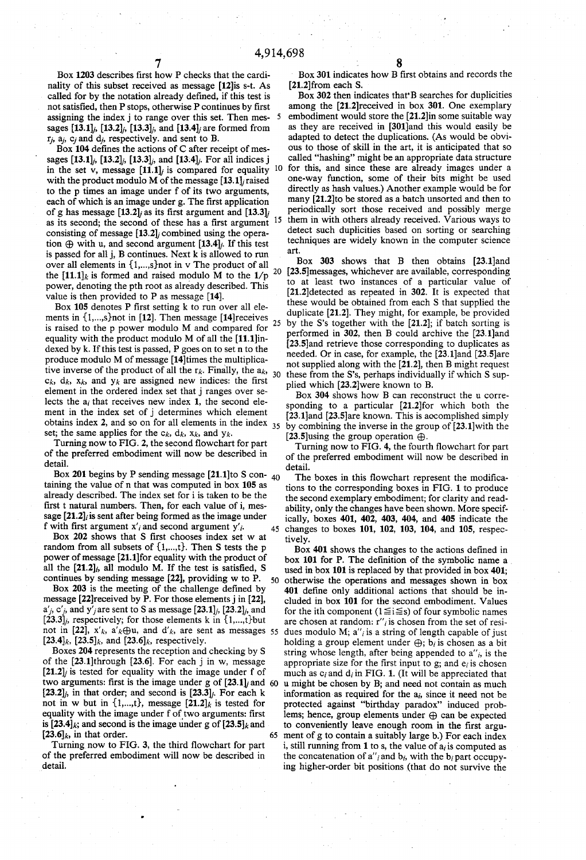Box 1203 describes first how P checks that the cardinality of this subset received as message [12]is s-t. As called for by the notation already defined, if this test is not satisfied, then P stops, otherwise P continues by first assigning the index  $j$  to range over this set. Then mes-  $5$ sages  $[13.1]_j$ ,  $[13.2]_j$ ,  $[13.3]_j$ , and  $[13.4]_j$  are formed from  $r_j$ ,  $a_j$ ,  $c_j$  and  $d_j$ , respectively. and sent to B.

Box 104 defines the actions of C after receipt of messages  $[13.1]_i$ ,  $[13.2]_i$ ,  $[13.3]_i$ , and  $[13.4]_i$ . For all indices j<br>in the set v message  $[11.1]_i$  is compared for equality 10 in the set v, message  $[11.1]$  is compared for equality with the product modulo M of the message [13.1]; raised to the p times an image under f of its two arguments, each of which is an image under g. The first application of g has message  $[13.2]$  as its first argument and  $[13.3]$ of g has message  $[13.2]$  as its first argument and  $[13.3]$ ; as its second; the second of these has a first argument  $^{15}$ consisting of message  $[13.2]$ ; combined using the operation  $\oplus$  with u, and second argument [13.4];. If this test is passed for all j, B continues. Next k is allowed to run over all elements in {l,...,s}not in v The product of all the  $[11.1]_k$  is formed and raised modulo M to the  $1/p^{20}$ power, denoting the pth root as already described. This value is then provided to P as message [14].

Box 105 denotes P first setting k to run over all elements in  $\{1,...,s\}$  not in [12]. Then message [14] receives  $_{25}$ is raised to the p power modulo M and compared for equality with the product modulo M of all the [11.1]in dexed by k. If this test is passed, P goes on to set n to the produce modulo M of message [14]times the multiplica tive inverse of the product of all the  $r_k$ . Finally, the  $a_k$ , tive inverse of the product of all the  $r_k$ . Finally, the  $a_k$ ,  $a_k$ ,  $a_k$ ,  $a_k$ , and  $y_k$  are assigned new indices: the first element in the ordered index set that j ranges over se lects the  $a_i$  that receives new index 1, the second element in the index set of j determines which element obtains index 2, and so on for all elements in the index  $_{35}$ set; the same applies for the  $c_k$ ,  $d_k$ ,  $x_k$ , and  $y_k$ .

Turning now to FIG. 2, the second flowchart for part of the preferred embodiment will now be described in detail.

Box 201 begins by P sending message  $[21.1]$ to S con- <sub>40</sub> taining the value of n that was computed in box 105 as already described. The index set for i is taken to be the first t natural numbers. Then, for each value of i, message  $[21.2]$ , is sent after being formed as the image under f with first argument  $x'_i$  and second argument  $y'_i$ .

Box 202 shows that S first chooses index set w at random from all subsets of  $\{1,...,t\}$ . Then S tests the p power of message [21.1]for equality with the product of all the  $[21.2]_i$ , all modulo M. If the test is satisfied, S continues by sending message [22], providing w to P. 50

Box 203 is the meeting of the challenge defined by message [22]received by P. For those elements j in [22],  $a'_{j}$ ,  $c'_{j}$ , and  $y'_{j}$  are sent to S as message [23.1]<sub>j</sub>, [23.2]<sub>j</sub>, and  $[23.3]_i$ , respectively; for those elements k in  $\{1,...,t\}$ but not in [22],  $x'_{k}$ ,  $a'_{k} \oplus u$ , and  $d'_{k}$ , are sent as messages 55 [23.4]<sub>k</sub>, [23.5]<sub>k</sub>, and [23.6]<sub>k</sub>, respectively.

Boxes 204 represents the reception and checking by S of the [23.1]through [23.6]. For each j in w, message  $[21.2]$  is tested for equality with the image under f of two arguments: first is the image under g of  $[23.1]$  and 60  $[23.2]_i$ , in that order; and second is  $[23.3]_i$ . For each k not in w but in  $\{1,...,t\}$ , message  $[21.2]$ <sub>k</sub> is tested for equality with the image under f of two arguments: first is [23.4]<sub>k</sub>; and second is the image under g of  $[23.5]$ <sub>k</sub> and  $[23.6]_k$ , in that order. 65

Turning now to FIG. 3, the third flowchart for part of the preferred embodiment will now be described in detail.

Box 301 indicates how B first obtains and records the [21.2]from each S.

Box 302 then indicates that'B searches for duplicities among the [21.2]received in box 301. One exemplary embodiment would store the [21.2]in some suitable way as they are received in [301]and this would easily be adapted to detect the duplications. (As would be obvious to those of skill in the art, it is anticipated that so called "hashing" might be an appropriate data structure for this, and since these are already images under a one-way function, some of their bits might be used directly as hash values.) Another example would be for many [21.2]to be stored as a batch unsorted and then to periodically sort those received and possibly merge them in with others already received. Various ways to detect such duplicities based on sorting or searching techniques are widely known in the computer science art.

Box 303 shows that B then obtains [23.1]and [23.5]messages, whichever are available, corresponding to at least two instances of a particular value of [21.2]detected as repeated in 302. It is expected that these would be obtained from each S that supplied the duplicate [21.2]. They might, for example, be provided by the S's together with the [21.2]; if batch sorting is performed in 302, then B could archive the [23.1]and [23.5]and retrieve those corresponding to duplicates as needed. Or in case, for example, the [23.1]and [23.5]are not supplied along with the [21.2], then B might request these from the S's, perhaps individually if which S sup plied which [23.2]were known to B.

Box 304 shows how B can reconstruct the u corre sponding to a particular [21.2]for which both the [23.1]and [23.5]are known. This is accomplished simply by combining the inverse in the group of [23.l]with the [23.5] using the group operation  $\oplus$ .

Turning now to FIG. 4, the fourth flowchart for part of the preferred embodiment will now be described in detail.

45 changes to boxes 101, 102, 103, 104, and 105, respectively. The boxes in this flowchart represent the modifications to the corresponding boxes in FIG. 1 to produce the second exemplary embodiment; for clarity and read ability, only the changes have been shown. More specif ically, boxes 401, 402, 403, 404, and 405 indicate the

Box 401 shows the changes to the actions defined in box 101 for P. The definition of the symbolic name a used in box 101 is replaced by that provided in box 401; otherwise the operations and messages shown in box 401 define only additional actions that should be included in box 101 for the second embodiment. Values for the ith component ( $1 \le i \le s$ ) of four symbolic names are chosen at random: r''<sub>i</sub> is chosen from the set of residues modulo M;  $a''$  is a string of length capable of just holding a group element under  $\bigoplus$ ; b<sub>i</sub> is chosen as a bit string whose length, after being appended to  $a''_i$ , is the appropriate size for the first input to g; and  $e_i$  is chosen much as  $c_i$  and  $d_i$  in FIG. 1. (It will be appreciated that u might be chosen by B; and need not contain as much information as required for the  $a_i$ , since it need not be protected against "birthday paradox" induced prob lems; hence, group elements under @ can be expected to conveniently leave enough room in the first argument of g to contain a suitably large b.) For each index i, still running from 1 to s, the value of  $a_i$  is computed as the concatenation of  $a''_i$  and  $b_i$ , with the  $b_i$  part occupying higher-order bit positions (that do not survive the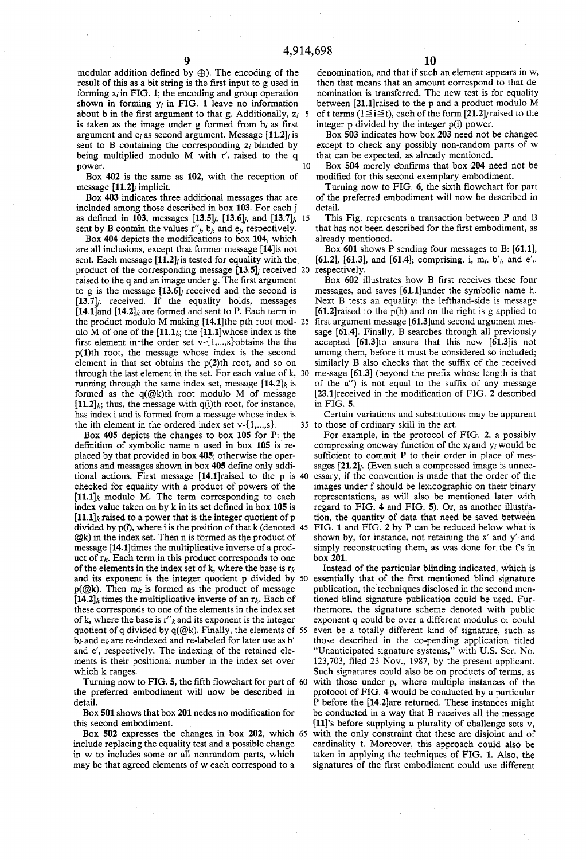modular addition defined by  $\bigoplus$ ). The encoding of the result of this as a bit string is the first input to g used in forming  $x_i$  in FIG. 1; the encoding and group operation shown in forming  $y_i$  in FIG. 1 leave no information about b in the first argument to that g. Additionally,  $z_i$  5 is taken as the image under g formed from  $b_i$  as first argument and  $e_i$  as second argument. Message [11.2], is sent to B containing the corresponding  $z_i$  blinded by being multiplied modulo M with  $r'_i$  raised to the q nower. power.

Box 402 is the same as 102, with the reception of message [11.2], implicit.

Box 403 indicates three additional messages that are included among those described in box 103. For each j as defined in 103, messages  $[13.5]_i$ ,  $[13.6]_i$ , and  $[13.7]_i$ , 15 sent by B contain the values  $r''_j$ ,  $b_j$ , and  $e_j$ , respectively.

Box 404 depicts the modifications to box 104, which are all inclusions, except that former message [14]is not sent. Each message  $[11.2]$  is tested for equality with the product of the corresponding message  $[13.5]$  received 20 respectively. raised to the q and an image under g. The first argument to g is the message  $[13.6]$  received and the second is  $[13.7]$ <sub>j</sub>. received. If the equality holds, messages [14.1]and  $[14.2]$  are formed and sent to P. Each term in the product modulo M making  $[14.1]$ the pth root mod- 25 ulo M of one of the  $[11.1]$ <sub>k</sub>; the  $[11.1]$ whose index is the first element in the order set  $v$ -{1,...,s}obtains the the p(1)th root, the message whose index is the second element in that set obtains the  $p(2)$ th root, and so on through the last element in the set. For each value of k, running through the same index set, message  $[14.2]_k$  is formed as the q(@k)th root modulo M of message  $[11.2]_k$ ; thus, the message with q(i)th root, for instance, has index i and is formed from a message whose index is the ith element in the ordered index set  $v$ - $\{1,...,s\}$ .

Box 405 depicts the changes to box 105 for P: the definition of symbolic name n used in box  $105$  is replaced by that provided in box 405; otherwise the oper ations and messages shown in box 405 define only additional actions. First message [14.1]raised to the p is 40 checked for equality with a product of powers of the  $[11.1]$ <sub>k</sub> modulo M. The term corresponding to each index value taken on by  $k$  in its set defined in box 105 is  $[11.1]$ <sub>k</sub> raised to a power that is the integer quotient of p divided by  $p(i)$ , where i is the position of that k (denoted 45  $@k$ ) in the index set. Then n is formed as the product of message [14.1]times the multiplicative inverse of a prod uct of  $r_k$ . Each term in this product corresponds to one of the elements in the index set of k, where the base is  $r_k$ . and its exponent is the integer quotient p divided by  $p(Qk)$ . Then  $m_k$  is formed as the product of message  $[14.2]$ <sub>k</sub> times the multiplicative inverse of an r<sub>k</sub>. Each of these corresponds to one of the elements in the index set of k, where the base is  $r''_k$  and its exponent is the integer quotient of q divided by q(@k). Finally, the elements of 55  $b_k$  and  $e_k$  are re-indexed and re-labeled for later use as b' and e', respectively. The indexing of the retained ele ments is their positional number in the index set over which k ranges.

Turning now to FIG. 5, the fifth flowchart for part of 60 the preferred embodiment will now be described in detail.

Box 501 shows that box 201 nedes no modification for this second embodiment.

Box 502 expresses the changes. in box 202, which 65 include replacing the equality test and a possible change in w to includes some or all nonrandom parts, which may be that agreed elements of w each correspond to a

denomination, and that if such an element appears in w, then that means that an amount correspond to that de nomination is transferred. The new test is for equality between [21.1]raised to the p and a product modulo M of t terms ( $1 \le i \le t$ ), each of the form [21.2], raised to the integer p divided by the integer p(i) power.

Box 503 indicates how box 203 need not be changed except to check any possibly non-random parts of w that can be expected, as already mentioned.

Box 504 merely confirms that box 204 need not be modified for this second exemplary embodiment.

Turning now to FIG.  $6$ , the sixth flowchart for part of the preferred embodiment will now be described in detail.

This Fig. represents a transaction between P and B that has not been described for the first embodiment, as already mentioned.

Box 601 shows P sending four messages to B: [61.1], [61.2], [61.3], and [61.4]; comprising, i, m<sub>i</sub>, b'<sub>i</sub>, and e'<sub>i</sub>,

Box 602 illustrates how B first receives these four messages, and saves [61.1]under the symbolic name h. Next B tests an equality: the lefthand-side is message  $[61.2]$ raised to the p(h) and on the right is g applied to first argument message [61.3]and second argument message [61.4]. Finally, B searches through all previously accepted [61.3]to ensure that this new [61.3]is not among them, before it must be considered so included; similarly B also checks that the suffix of the received message  $[61.3]$  (beyond the prefix whose length is that of the  $a''$ ) is not equal to the suffix of any message  $[23.1]$ received in the modification of FIG. 2 described in FIG. 5.

Certain variations and substitutions may be apparent 35 to those of ordinary skill in the art.

For example, in the protocol of FIG. 2, a possibly compressing oneway function of the  $x_i$  and  $y_i$  would be sufficient to commit P to their order in place of messages  $[21.2]$ . (Even such a compressed image is unnecessary, if the convention is made that the order of the images under f should be lexicographic on their binary representations, as will also be mentioned later with regard to FIG. 4 and FIG. 5). Or, as another illustra tion, the quantity of data that need be saved between FIG. 1 and FIG. 2 by P can be reduced below what is shown by, for instance, not retaining the x' and y' and simply reconstructing them, as was done for the f's in box 201.

Instead of the particular blinding indicated, which is essentially that of the first mentioned blind signature publication, the techniques disclosed in the second men tioned blind signature publication could be used. Fur thermore, the signature scheme denoted with public exponent q could be over a different modulus or could even be a totally different kind of signature, such as those described in the co-pending application titled "Unanticipated signature systems," with U.S. Ser. No. 123,703, filed 23 Nov., 1987, by the present applicant. Such signatures could also be on products of terms, as with those under p, where multiple instances of the protocol of FIG. 4 would be conducted by a particular P before the [14.2]are returned. These instances might be conducted in a way that B receives all the message [11]'s before supplying a plurality of challenge sets v, with the only constraint that these are disjoint and of cardinality t. Moreover, this approach could also be taken in applying the techniques of FIG. 1. Also, the signatures of the first embodiment could use different